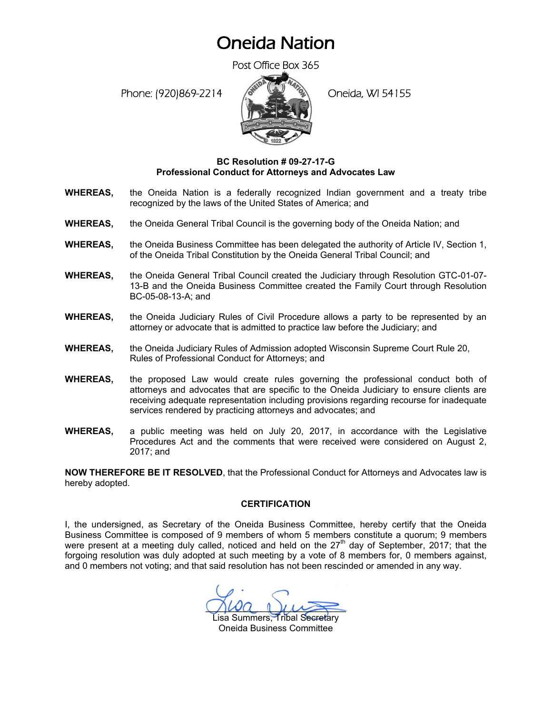## Oneida Nation

Post Office Box 365

Phone: (920)869-2214 (Oneida, WI 54155



## **BC Resolution # 09-27-17-G Professional Conduct for Attorneys and Advocates Law**

- **WHEREAS,** the Oneida Nation is a federally recognized Indian government and a treaty tribe recognized by the laws of the United States of America; and
- **WHEREAS,** the Oneida General Tribal Council is the governing body of the Oneida Nation; and
- **WHEREAS,** the Oneida Business Committee has been delegated the authority of Article IV, Section 1, of the Oneida Tribal Constitution by the Oneida General Tribal Council; and
- **WHEREAS,** the Oneida General Tribal Council created the Judiciary through Resolution GTC-01-07- 13-B and the Oneida Business Committee created the Family Court through Resolution BC-05-08-13-A; and
- **WHEREAS,** the Oneida Judiciary Rules of Civil Procedure allows a party to be represented by an attorney or advocate that is admitted to practice law before the Judiciary; and
- **WHEREAS,** the Oneida Judiciary Rules of Admission adopted Wisconsin Supreme Court Rule 20, Rules of Professional Conduct for Attorneys; and
- **WHEREAS,** the proposed Law would create rules governing the professional conduct both of attorneys and advocates that are specific to the Oneida Judiciary to ensure clients are receiving adequate representation including provisions regarding recourse for inadequate services rendered by practicing attorneys and advocates; and
- **WHEREAS,** a public meeting was held on July 20, 2017, in accordance with the Legislative Procedures Act and the comments that were received were considered on August 2, 2017; and

**NOW THEREFORE BE IT RESOLVED**, that the Professional Conduct for Attorneys and Advocates law is hereby adopted.

## **CERTIFICATION**

I, the undersigned, as Secretary of the Oneida Business Committee, hereby certify that the Oneida Business Committee is composed of 9 members of whom 5 members constitute a quorum; 9 members were present at a meeting duly called, noticed and held on the  $27<sup>th</sup>$  day of September, 2017; that the forgoing resolution was duly adopted at such meeting by a vote of 8 members for, 0 members against, and 0 members not voting; and that said resolution has not been rescinded or amended in any way.

 $Mwa_nuw$ 

isa Summers, Tribal Secretary Oneida Business Committee